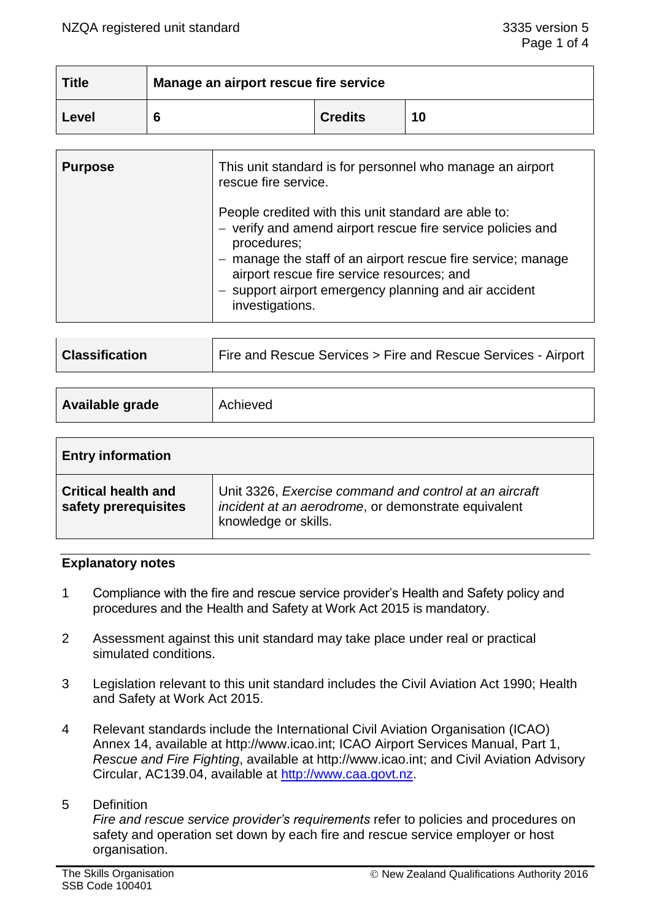| <b>Title</b> | Manage an airport rescue fire service |                |    |
|--------------|---------------------------------------|----------------|----|
| Level        |                                       | <b>Credits</b> | 10 |

| <b>Purpose</b> | This unit standard is for personnel who manage an airport<br>rescue fire service.                                                                                                                                                                                                                                            |
|----------------|------------------------------------------------------------------------------------------------------------------------------------------------------------------------------------------------------------------------------------------------------------------------------------------------------------------------------|
|                | People credited with this unit standard are able to:<br>- verify and amend airport rescue fire service policies and<br>procedures;<br>- manage the staff of an airport rescue fire service; manage<br>airport rescue fire service resources; and<br>- support airport emergency planning and air accident<br>investigations. |

| Fire and Rescue Services > Fire and Rescue Services - Airport<br><b>Classification</b> |  |
|----------------------------------------------------------------------------------------|--|
|----------------------------------------------------------------------------------------|--|

| Available grade | Achieved |
|-----------------|----------|
|                 |          |

| <b>Entry information</b>                           |                                                                                                                                       |
|----------------------------------------------------|---------------------------------------------------------------------------------------------------------------------------------------|
| <b>Critical health and</b><br>safety prerequisites | Unit 3326, Exercise command and control at an aircraft<br>incident at an aerodrome, or demonstrate equivalent<br>knowledge or skills. |

# **Explanatory notes**

- 1 Compliance with the fire and rescue service provider's Health and Safety policy and procedures and the Health and Safety at Work Act 2015 is mandatory.
- 2 Assessment against this unit standard may take place under real or practical simulated conditions.
- 3 Legislation relevant to this unit standard includes the Civil Aviation Act 1990; Health and Safety at Work Act 2015.
- 4 Relevant standards include the International Civil Aviation Organisation (ICAO) Annex 14, available at http://www.icao.int; ICAO Airport Services Manual, Part 1, *Rescue and Fire Fighting*, available at http://www.icao.int; and Civil Aviation Advisory Circular, AC139.04, available at [http://www.caa.govt.nz.](http://www.caa.govt.nz/)

# 5 Definition

*Fire and rescue service provider's requirements* refer to policies and procedures on safety and operation set down by each fire and rescue service employer or host organisation.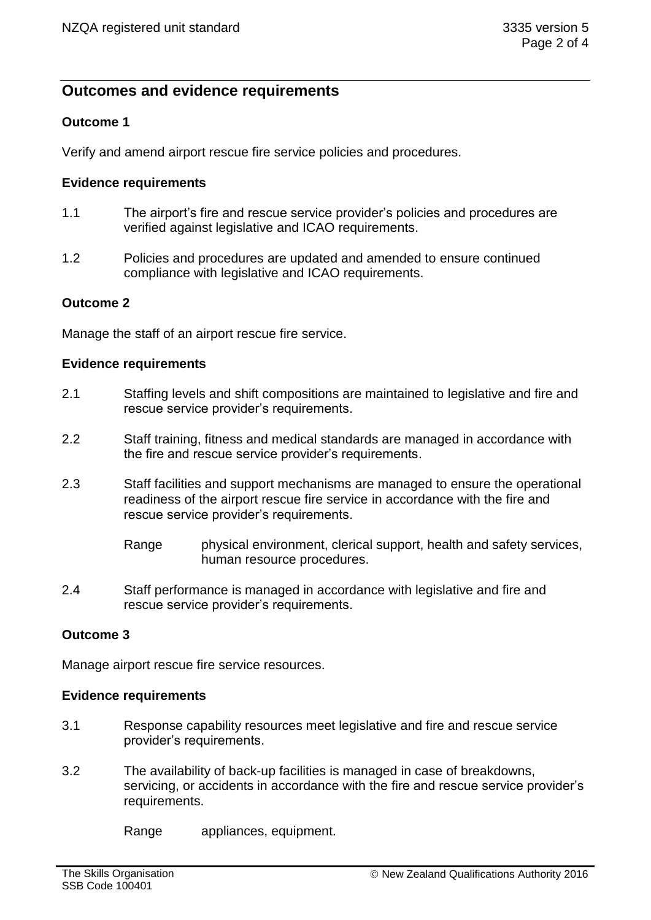# **Outcomes and evidence requirements**

# **Outcome 1**

Verify and amend airport rescue fire service policies and procedures.

# **Evidence requirements**

- 1.1 The airport's fire and rescue service provider's policies and procedures are verified against legislative and ICAO requirements.
- 1.2 Policies and procedures are updated and amended to ensure continued compliance with legislative and ICAO requirements.

### **Outcome 2**

Manage the staff of an airport rescue fire service.

#### **Evidence requirements**

- 2.1 Staffing levels and shift compositions are maintained to legislative and fire and rescue service provider's requirements.
- 2.2 Staff training, fitness and medical standards are managed in accordance with the fire and rescue service provider's requirements.
- 2.3 Staff facilities and support mechanisms are managed to ensure the operational readiness of the airport rescue fire service in accordance with the fire and rescue service provider's requirements.
	- Range physical environment, clerical support, health and safety services, human resource procedures.
- 2.4 Staff performance is managed in accordance with legislative and fire and rescue service provider's requirements.

# **Outcome 3**

Manage airport rescue fire service resources.

#### **Evidence requirements**

- 3.1 Response capability resources meet legislative and fire and rescue service provider's requirements.
- 3.2 The availability of back-up facilities is managed in case of breakdowns, servicing, or accidents in accordance with the fire and rescue service provider's requirements.

Range appliances, equipment.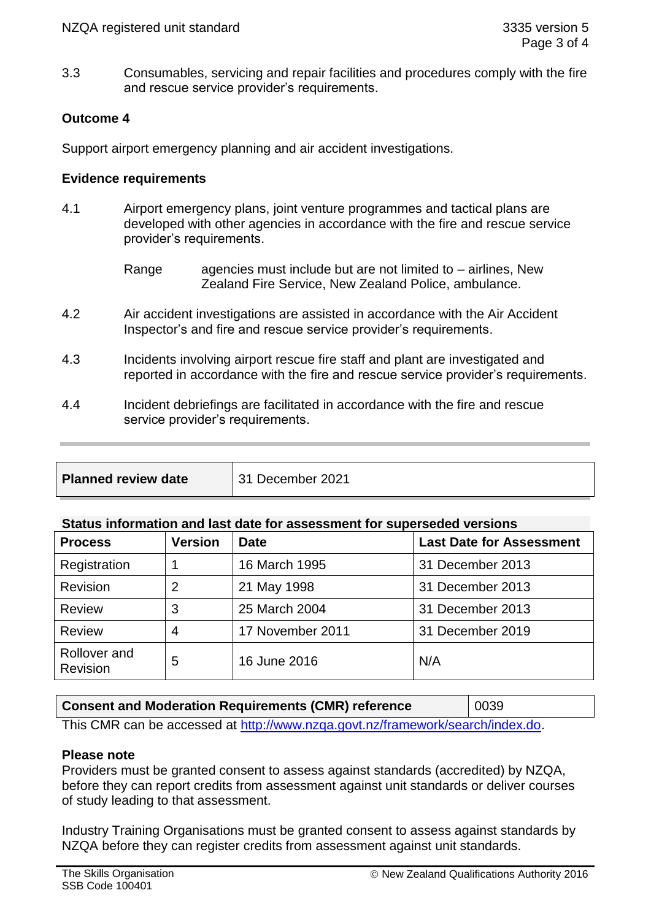3.3 Consumables, servicing and repair facilities and procedures comply with the fire and rescue service provider's requirements.

# **Outcome 4**

Support airport emergency planning and air accident investigations.

### **Evidence requirements**

- 4.1 Airport emergency plans, joint venture programmes and tactical plans are developed with other agencies in accordance with the fire and rescue service provider's requirements.
	- Range agencies must include but are not limited to  $-$  airlines, New Zealand Fire Service, New Zealand Police, ambulance.
- 4.2 Air accident investigations are assisted in accordance with the Air Accident Inspector's and fire and rescue service provider's requirements.
- 4.3 Incidents involving airport rescue fire staff and plant are investigated and reported in accordance with the fire and rescue service provider's requirements.
- 4.4 Incident debriefings are facilitated in accordance with the fire and rescue service provider's requirements.

| <b>Planned review date</b> | 31 December 2021 |
|----------------------------|------------------|
|                            |                  |

# **Status information and last date for assessment for superseded versions**

| <b>Process</b>                  | <b>Version</b> | <b>Date</b>      | <b>Last Date for Assessment</b> |
|---------------------------------|----------------|------------------|---------------------------------|
| Registration                    |                | 16 March 1995    | 31 December 2013                |
| <b>Revision</b>                 | 2              | 21 May 1998      | 31 December 2013                |
| <b>Review</b>                   | 3              | 25 March 2004    | 31 December 2013                |
| <b>Review</b>                   | 4              | 17 November 2011 | 31 December 2019                |
| Rollover and<br><b>Revision</b> | 5              | 16 June 2016     | N/A                             |

# **Consent and Moderation Requirements (CMR) reference** | 0039

This CMR can be accessed at [http://www.nzqa.govt.nz/framework/search/index.do.](http://www.nzqa.govt.nz/framework/search/index.do)

# **Please note**

Providers must be granted consent to assess against standards (accredited) by NZQA, before they can report credits from assessment against unit standards or deliver courses of study leading to that assessment.

Industry Training Organisations must be granted consent to assess against standards by NZQA before they can register credits from assessment against unit standards.